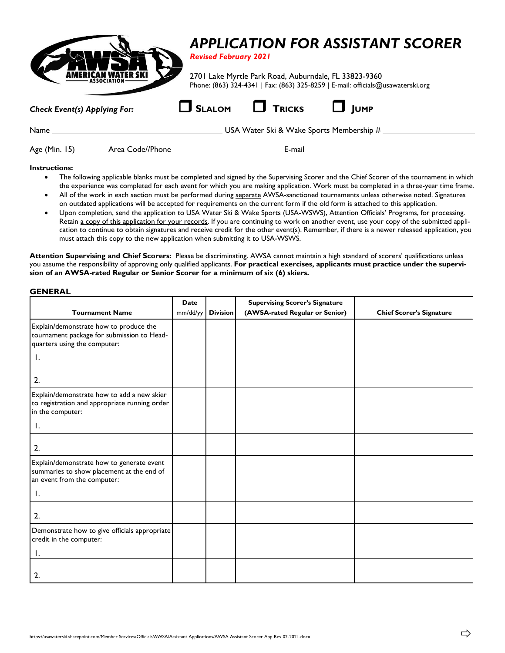|                                                       |  | <b>APPLICATION FOR ASSISTANT SCORER</b><br><b>Revised February 2021</b>                                                                  |  |  |  |  |  |
|-------------------------------------------------------|--|------------------------------------------------------------------------------------------------------------------------------------------|--|--|--|--|--|
|                                                       |  | 2701 Lake Myrtle Park Road, Auburndale, FL 33823-9360<br>Phone: (863) 324-4341   Fax: (863) 325-8259   E-mail: officials@usawaterski.org |  |  |  |  |  |
| <b>Check Event(s) Applying For:</b>                   |  | $\Box$ SLALOM $\Box$ Tricks<br>$\Box$ lump                                                                                               |  |  |  |  |  |
| Name $\frac{1}{\sqrt{1-\frac{1}{2}}\cdot\frac{1}{2}}$ |  | USA Water Ski & Wake Sports Membership #                                                                                                 |  |  |  |  |  |
|                                                       |  | E-mail                                                                                                                                   |  |  |  |  |  |

## **Instructions:**

- The following applicable blanks must be completed and signed by the Supervising Scorer and the Chief Scorer of the tournament in which the experience was completed for each event for which you are making application. Work must be completed in a three-year time frame.
- All of the work in each section must be performed during separate AWSA-sanctioned tournaments unless otherwise noted. Signatures on outdated applications will be accepted for requirements on the current form if the old form is attached to this application.
- Upon completion, send the application to USA Water Ski & Wake Sports (USA-WSWS), Attention Officials' Programs, for processing. Retain a copy of this application for your records. If you are continuing to work on another event, use your copy of the submitted application to continue to obtain signatures and receive credit for the other event(s). Remember, if there is a newer released application, you must attach this copy to the new application when submitting it to USA-WSWS.

**Attention Supervising and Chief Scorers:** Please be discriminating. AWSA cannot maintain a high standard of scorers' qualifications unless you assume the responsibility of approving only qualified applicants. **For practical exercises, applicants must practice under the supervision of an AWSA-rated Regular or Senior Scorer for a minimum of six (6) skiers.**

#### **GENERAL**

|                                                                                                                             | <b>Date</b> |                 | <b>Supervising Scorer's Signature</b> |                                 |
|-----------------------------------------------------------------------------------------------------------------------------|-------------|-----------------|---------------------------------------|---------------------------------|
| <b>Tournament Name</b>                                                                                                      | mm/dd/yy    | <b>Division</b> | (AWSA-rated Regular or Senior)        | <b>Chief Scorer's Signature</b> |
| Explain/demonstrate how to produce the<br>tournament package for submission to Head-<br>quarters using the computer:<br>Ι.  |             |                 |                                       |                                 |
| 2.                                                                                                                          |             |                 |                                       |                                 |
| Explain/demonstrate how to add a new skier<br>to registration and appropriate running order<br>in the computer:             |             |                 |                                       |                                 |
| Ι.                                                                                                                          |             |                 |                                       |                                 |
| 2.                                                                                                                          |             |                 |                                       |                                 |
| Explain/demonstrate how to generate event<br>summaries to show placement at the end of<br>an event from the computer:<br>Ι. |             |                 |                                       |                                 |
| 2.                                                                                                                          |             |                 |                                       |                                 |
| Demonstrate how to give officials appropriate<br>credit in the computer:<br>Ι.                                              |             |                 |                                       |                                 |
| 2.                                                                                                                          |             |                 |                                       |                                 |